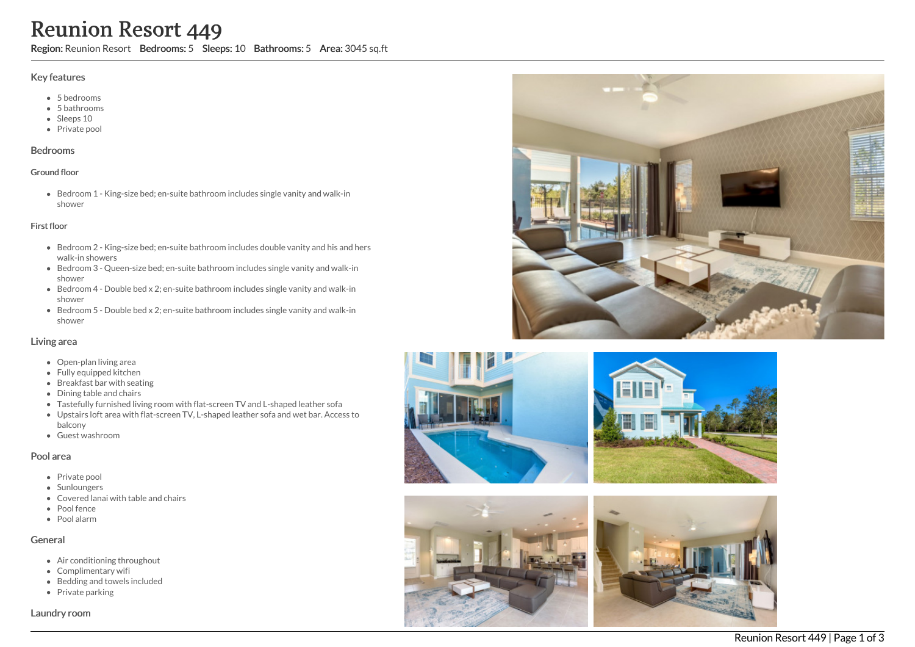# Reunion Resort 449

Region: Reunion Resort Bedrooms: 5 Sleeps: 10 Bathrooms: 5 Area: 3045 sq.ft

#### Key features

- 5 bedrooms
- 5 bathrooms
- Sleeps 10
- Private pool

#### Bedrooms

## Ground floor

Bedroom 1 - King-size bed; en-suite bathroom includes single vanity and walk-in shower

#### First floor

- Bedroom 2 King-size bed; en-suite bathroom includes double vanity and his and hers walk-in showers
- Bedroom 3 Queen-size bed; en-suite bathroom includes single vanity and walk-in shower
- Bedroom 4 Double bed x 2; en-suite bathroom includes single vanity and walk-in shower
- Bedroom 5 Double bed x 2; en-suite bathroom includes single vanity and walk-in shower

## Living area

- Open-plan living area
- Fully equipped kitchen
- Breakfast bar with seating
- Dining table and chairs
- Tastefully furnished living room with flat-screen TV and L-shaped leather sofa
- Upstairs loft area with flat-screen TV, L-shaped leather sofa and wet bar. Access to balcony
- Guest washroom

## Pool area

- Private pool
- Sunloungers
- Covered lanai with table and chairs
- Pool fence
- Pool alarm

## General

- Air conditioning throughout
- Complimentary wifi
- Bedding and towels included
- $\bullet$  Private parking

Laundry room









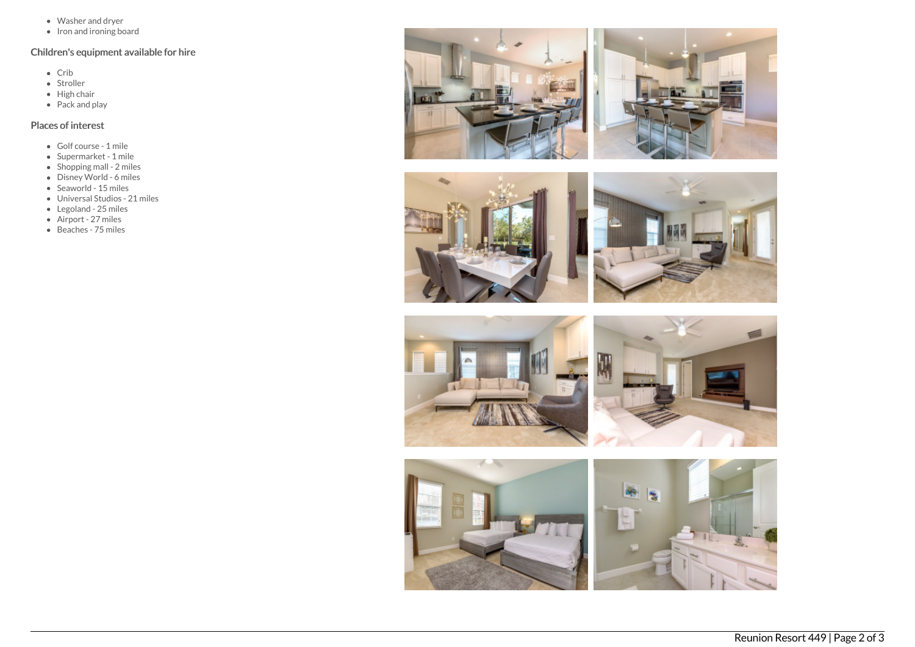- Washer and dryer
- Iron and ironing board

# Children's equipment available for hire

- $\bullet$  Crib
- Stroller
- $\bullet$  High chair
- Pack and play

# Places of interest

- Golf course 1 mile
- Supermarket 1 mile
- $\bullet$  Shopping mall 2 miles
- Disney World 6 miles
- $\bullet$  Seaworld 15 miles
- Universal Studios 21 miles
- Legoland 25 miles
- Airport 27 miles
- Beaches 75 miles